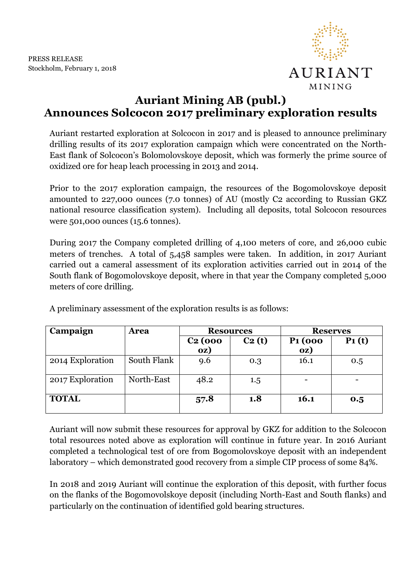

## AURIANT MINING

## **Auriant Mining AB (publ.) Announces Solcocon 2017 preliminary exploration results**

Auriant restarted exploration at Solcocon in 2017 and is pleased to announce preliminary drilling results of its 2017 exploration campaign which were concentrated on the North-East flank of Solcocon's Bolomolovskoye deposit, which was formerly the prime source of oxidized ore for heap leach processing in 2013 and 2014.

Prior to the 2017 exploration campaign, the resources of the Bogomolovskoye deposit amounted to 227,000 ounces (7.0 tonnes) of AU (mostly C2 according to Russian GKZ national resource classification system). Including all deposits, total Solcocon resources were 501,000 ounces (15.6 tonnes).

During 2017 the Company completed drilling of 4,100 meters of core, and 26,000 cubic meters of trenches. A total of 5,458 samples were taken. In addition, in 2017 Auriant carried out a cameral assessment of its exploration activities carried out in 2014 of the South flank of Bogomolovskoye deposit, where in that year the Company completed 5,000 meters of core drilling.

| Campaign         | <b>Area</b> | <b>Resources</b> |                    | <b>Reserves</b>            |          |
|------------------|-------------|------------------|--------------------|----------------------------|----------|
|                  |             | $C2$ (000<br>oz) | C <sub>2</sub> (t) | P <sub>1</sub> (000<br>oz) | $P_1(t)$ |
| 2014 Exploration | South Flank | 9.6              | 0.3                | 16.1                       | 0.5      |
| 2017 Exploration | North-East  | 48.2             | 1.5                |                            |          |
| <b>TOTAL</b>     |             | 57.8             | 1.8                | 16.1                       | 0.5      |

A preliminary assessment of the exploration results is as follows:

Auriant will now submit these resources for approval by GKZ for addition to the Solcocon total resources noted above as exploration will continue in future year. In 2016 Auriant completed a technological test of ore from Bogomolovskoye deposit with an independent laboratory – which demonstrated good recovery from a simple CIP process of some 84%.

In 2018 and 2019 Auriant will continue the exploration of this deposit, with further focus on the flanks of the Bogomovolskoye deposit (including North-East and South flanks) and particularly on the continuation of identified gold bearing structures.